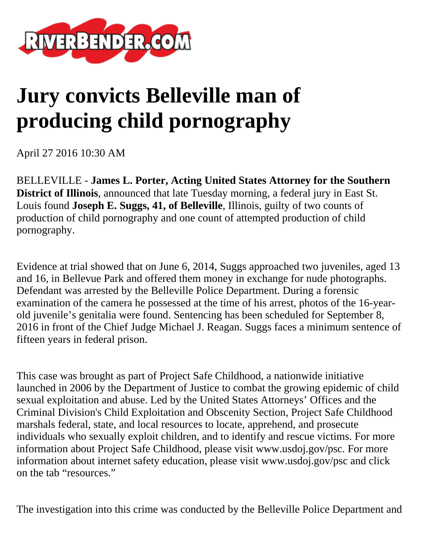

## **Jury convicts Belleville man of producing child pornography**

April 27 2016 10:30 AM

BELLEVILLE - **James L. Porter, Acting United States Attorney for the Southern District of Illinois**, announced that late Tuesday morning, a federal jury in East St. Louis found **Joseph E. Suggs, 41, of Belleville**, Illinois, guilty of two counts of production of child pornography and one count of attempted production of child pornography.

Evidence at trial showed that on June 6, 2014, Suggs approached two juveniles, aged 13 and 16, in Bellevue Park and offered them money in exchange for nude photographs. Defendant was arrested by the Belleville Police Department. During a forensic examination of the camera he possessed at the time of his arrest, photos of the 16-yearold juvenile's genitalia were found. Sentencing has been scheduled for September 8, 2016 in front of the Chief Judge Michael J. Reagan. Suggs faces a minimum sentence of fifteen years in federal prison.

This case was brought as part of Project Safe Childhood, a nationwide initiative launched in 2006 by the Department of Justice to combat the growing epidemic of child sexual exploitation and abuse. Led by the United States Attorneys' Offices and the Criminal Division's Child Exploitation and Obscenity Section, Project Safe Childhood marshals federal, state, and local resources to locate, apprehend, and prosecute individuals who sexually exploit children, and to identify and rescue victims. For more information about Project Safe Childhood, please visit www.usdoj.gov/psc. For more information about internet safety education, please visit www.usdoj.gov/psc and click on the tab "resources."

The investigation into this crime was conducted by the Belleville Police Department and